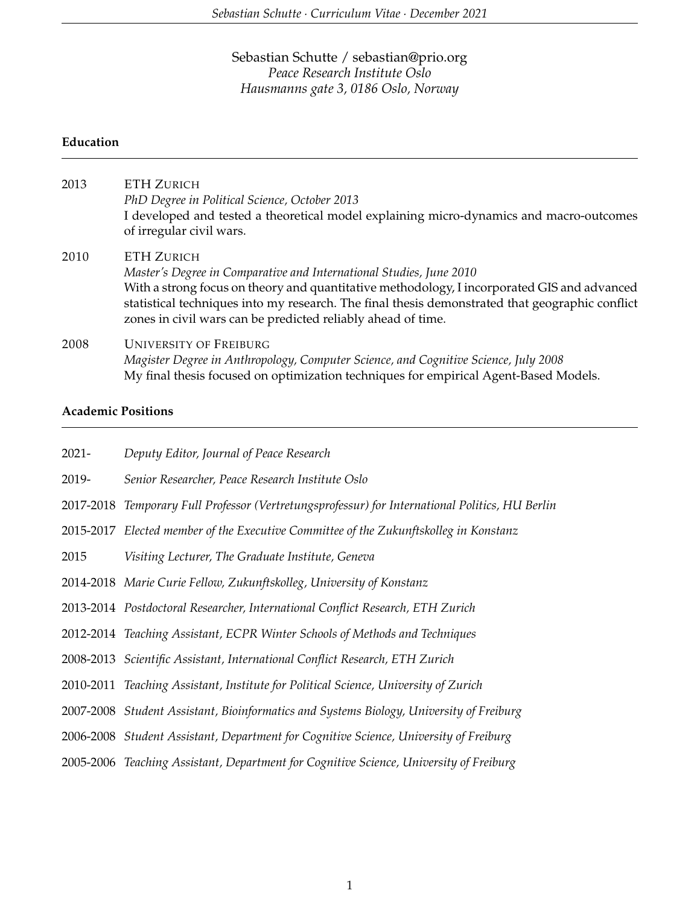# Sebastian Schutte / sebastian@prio.org *Peace Research Institute Oslo Hausmanns gate 3, 0186 Oslo, Norway*

### **Education**

| 2013 | ETH ZURICH<br>PhD Degree in Political Science, October 2013<br>I developed and tested a theoretical model explaining micro-dynamics and macro-outcomes<br>of irregular civil wars.                                                                                                                                                                         |
|------|------------------------------------------------------------------------------------------------------------------------------------------------------------------------------------------------------------------------------------------------------------------------------------------------------------------------------------------------------------|
| 2010 | <b>ETH ZURICH</b><br>Master's Degree in Comparative and International Studies, June 2010<br>With a strong focus on theory and quantitative methodology, I incorporated GIS and advanced<br>statistical techniques into my research. The final thesis demonstrated that geographic conflict<br>zones in civil wars can be predicted reliably ahead of time. |
| 2008 | <b>UNIVERSITY OF FREIBURG</b><br>Magister Degree in Anthropology, Computer Science, and Cognitive Science, July 2008<br>My final thesis focused on optimization techniques for empirical Agent-Based Models.                                                                                                                                               |

### **Academic Positions**

| $2021 -$ | Deputy Editor, Journal of Peace Research                                                        |
|----------|-------------------------------------------------------------------------------------------------|
| 2019-    | Senior Researcher, Peace Research Institute Oslo                                                |
|          | 2017-2018 Temporary Full Professor (Vertretungsprofessur) for International Politics, HU Berlin |
|          | 2015-2017 Elected member of the Executive Committee of the Zukunftskolleg in Konstanz           |
| 2015     | Visiting Lecturer, The Graduate Institute, Geneva                                               |
|          | 2014-2018 Marie Curie Fellow, Zukunftskolleg, University of Konstanz                            |
|          | 2013-2014 Postdoctoral Researcher, International Conflict Research, ETH Zurich                  |
|          | 2012-2014 Teaching Assistant, ECPR Winter Schools of Methods and Techniques                     |
|          | 2008-2013 Scientific Assistant, International Conflict Research, ETH Zurich                     |
|          | 2010-2011 Teaching Assistant, Institute for Political Science, University of Zurich             |
|          | 2007-2008 Student Assistant, Bioinformatics and Systems Biology, University of Freiburg         |
|          | 2006-2008 Student Assistant, Department for Cognitive Science, University of Freiburg           |
|          | 2005-2006 Teaching Assistant, Department for Cognitive Science, University of Freiburg          |
|          |                                                                                                 |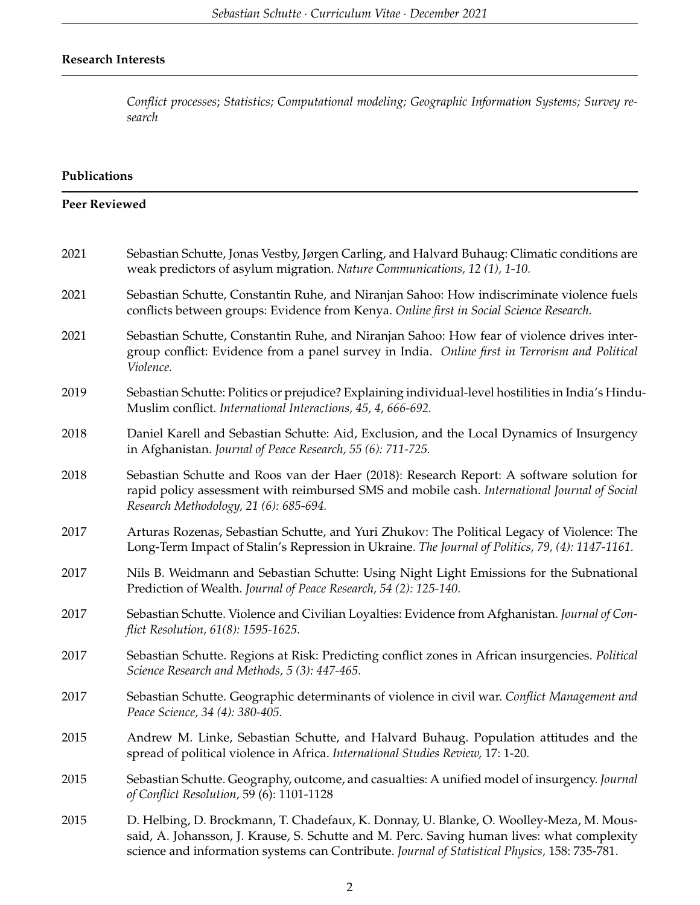# **Research Interests**

*Conflict processes*; *Statistics; Computational modeling; Geographic Information Systems; Survey research*

## **Publications**

| <b>Peer Reviewed</b> |                                                                                                                                                                                                                                                                                        |
|----------------------|----------------------------------------------------------------------------------------------------------------------------------------------------------------------------------------------------------------------------------------------------------------------------------------|
| 2021                 | Sebastian Schutte, Jonas Vestby, Jørgen Carling, and Halvard Buhaug: Climatic conditions are<br>weak predictors of asylum migration. Nature Communications, 12 (1), 1-10.                                                                                                              |
| 2021                 | Sebastian Schutte, Constantin Ruhe, and Niranjan Sahoo: How indiscriminate violence fuels<br>conflicts between groups: Evidence from Kenya. Online first in Social Science Research.                                                                                                   |
| 2021                 | Sebastian Schutte, Constantin Ruhe, and Niranjan Sahoo: How fear of violence drives inter-<br>group conflict: Evidence from a panel survey in India. Online first in Terrorism and Political<br>Violence.                                                                              |
| 2019                 | Sebastian Schutte: Politics or prejudice? Explaining individual-level hostilities in India's Hindu-<br>Muslim conflict. International Interactions, 45, 4, 666-692.                                                                                                                    |
| 2018                 | Daniel Karell and Sebastian Schutte: Aid, Exclusion, and the Local Dynamics of Insurgency<br>in Afghanistan. Journal of Peace Research, 55 (6): 711-725.                                                                                                                               |
| 2018                 | Sebastian Schutte and Roos van der Haer (2018): Research Report: A software solution for<br>rapid policy assessment with reimbursed SMS and mobile cash. International Journal of Social<br>Research Methodology, 21 (6): 685-694.                                                     |
| 2017                 | Arturas Rozenas, Sebastian Schutte, and Yuri Zhukov: The Political Legacy of Violence: The<br>Long-Term Impact of Stalin's Repression in Ukraine. The Journal of Politics, 79, (4): 1147-1161.                                                                                         |
| 2017                 | Nils B. Weidmann and Sebastian Schutte: Using Night Light Emissions for the Subnational<br>Prediction of Wealth. Journal of Peace Research, 54 (2): 125-140.                                                                                                                           |
| 2017                 | Sebastian Schutte. Violence and Civilian Loyalties: Evidence from Afghanistan. Journal of Con-<br>flict Resolution, 61(8): 1595-1625.                                                                                                                                                  |
| 2017                 | Sebastian Schutte. Regions at Risk: Predicting conflict zones in African insurgencies. Political<br>Science Research and Methods, 5 (3): 447-465.                                                                                                                                      |
| 2017                 | Sebastian Schutte. Geographic determinants of violence in civil war. Conflict Management and<br>Peace Science, 34 (4): 380-405.                                                                                                                                                        |
| 2015                 | Andrew M. Linke, Sebastian Schutte, and Halvard Buhaug. Population attitudes and the<br>spread of political violence in Africa. International Studies Review, 17: 1-20.                                                                                                                |
| 2015                 | Sebastian Schutte. Geography, outcome, and casualties: A unified model of insurgency. Journal<br>of Conflict Resolution, 59 (6): 1101-1128                                                                                                                                             |
| 2015                 | D. Helbing, D. Brockmann, T. Chadefaux, K. Donnay, U. Blanke, O. Woolley-Meza, M. Mous-<br>said, A. Johansson, J. Krause, S. Schutte and M. Perc. Saving human lives: what complexity<br>science and information systems can Contribute. Journal of Statistical Physics, 158: 735-781. |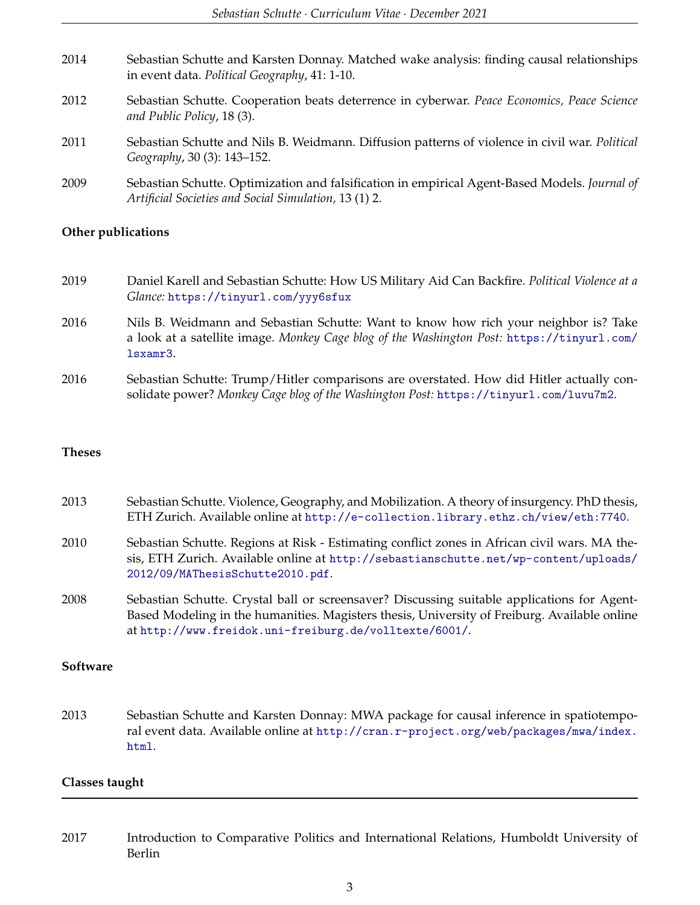| 2014 | Sebastian Schutte and Karsten Donnay. Matched wake analysis: finding causal relationships<br>in event data. Political Geography, 41: 1-10.             |
|------|--------------------------------------------------------------------------------------------------------------------------------------------------------|
| 2012 | Sebastian Schutte. Cooperation beats deterrence in cyberwar. Peace Economics, Peace Science<br>and Public Policy, 18 (3).                              |
| 2011 | Sebastian Schutte and Nils B. Weidmann. Diffusion patterns of violence in civil war. Political<br>Geography, 30 (3): 143-152.                          |
| 2009 | Sebastian Schutte. Optimization and falsification in empirical Agent-Based Models. Journal of<br>Artificial Societies and Social Simulation, 13 (1) 2. |

## **Other publications**

- 2019 Daniel Karell and Sebastian Schutte: How US Military Aid Can Backfire. *Political Violence at a Glance:* <https://tinyurl.com/yyy6sfux>
- 2016 Nils B. Weidmann and Sebastian Schutte: Want to know how rich your neighbor is? Take a look at a satellite image. *Monkey Cage blog of the Washington Post:* [https://tinyurl.com/](https://tinyurl.com/lsxamr3) [lsxamr3](https://tinyurl.com/lsxamr3).
- 2016 Sebastian Schutte: Trump/Hitler comparisons are overstated. How did Hitler actually consolidate power? *Monkey Cage blog of the Washington Post:* <https://tinyurl.com/luvu7m2>.

#### **Theses**

| 2013 | Sebastian Schutte. Violence, Geography, and Mobilization. A theory of insurgency. PhD thesis, |
|------|-----------------------------------------------------------------------------------------------|
|      | ETH Zurich. Available online at http://e-collection.library.ethz.ch/view/eth:7740.            |

- 2010 Sebastian Schutte. Regions at Risk Estimating conflict zones in African civil wars. MA thesis, ETH Zurich. Available online at [http://sebastianschutte.net/wp-content/uploads/](http://sebastianschutte.net/wp-content/uploads/2012/09/MAThesisSchutte2010.pdf) [2012/09/MAThesisSchutte2010.pdf](http://sebastianschutte.net/wp-content/uploads/2012/09/MAThesisSchutte2010.pdf).
- 2008 Sebastian Schutte. Crystal ball or screensaver? Discussing suitable applications for Agent-Based Modeling in the humanities. Magisters thesis, University of Freiburg. Available online at <http://www.freidok.uni-freiburg.de/volltexte/6001/>.

#### **Software**

2013 Sebastian Schutte and Karsten Donnay: MWA package for causal inference in spatiotemporal event data. Available online at [http://cran.r-project.org/web/packages/mwa/index.](http://cran.r-project.org/web/packages/mwa/index.html) [html](http://cran.r-project.org/web/packages/mwa/index.html).

#### **Classes taught**

2017 Introduction to Comparative Politics and International Relations, Humboldt University of Berlin